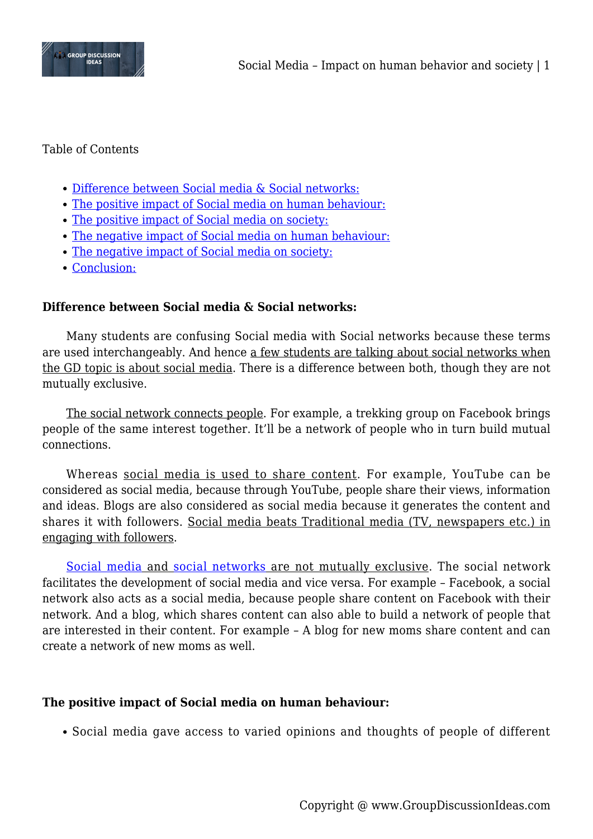

### Table of Contents

- [Difference between Social media & Social networks:](#page--1-0)
- [The positive impact of Social media on human behaviour:](#page--1-0)
- [The positive impact of Social media on society:](#page--1-0)
- [The negative impact of Social media on human behaviour:](#page--1-0)
- [The negative impact of Social media on society:](#page--1-0)
- [Conclusion:](#page--1-0)

### **Difference between Social media & Social networks:**

Many students are confusing Social media with Social networks because these terms are used interchangeably. And hence a few students are talking about social networks when the GD topic is about social media. There is a difference between both, though they are not mutually exclusive.

The social network connects people. For example, a trekking group on Facebook brings people of the same interest together. It'll be a network of people who in turn build mutual connections.

Whereas social media is used to share content. For example, YouTube can be considered as social media, because through YouTube, people share their views, information and ideas. Blogs are also considered as social media because it generates the content and shares it with followers. Social media beats Traditional media (TV, newspapers etc.) in engaging with followers.

[Social media](https://www.groupdiscussionideas.com/impact-social-media-youth/) and [social networks](https://www.groupdiscussionideas.com/social-networking-sites-boon-or-bane/) are not mutually exclusive. The social network facilitates the development of social media and vice versa. For example – Facebook, a social network also acts as a social media, because people share content on Facebook with their network. And a blog, which shares content can also able to build a network of people that are interested in their content. For example – A blog for new moms share content and can create a network of new moms as well.

#### **The positive impact of Social media on human behaviour:**

Social media gave access to varied opinions and thoughts of people of different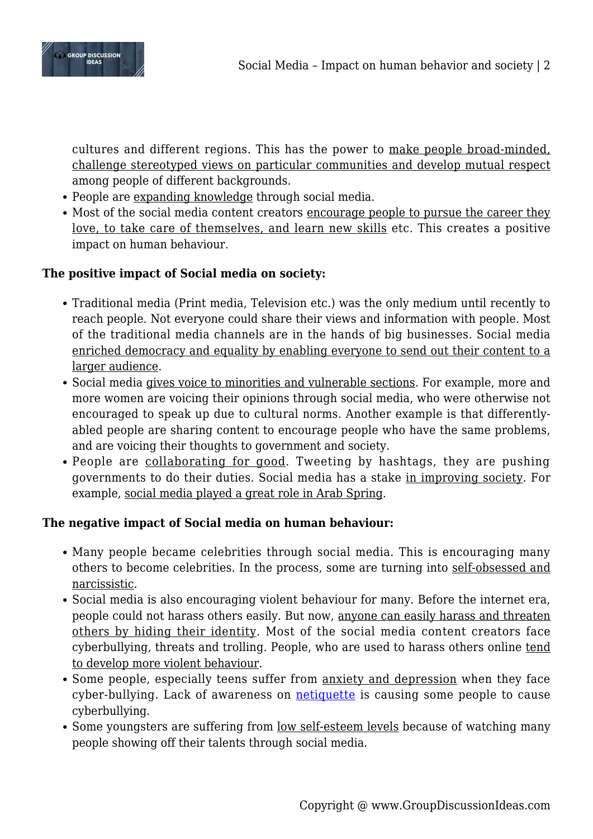

cultures and different regions. This has the power to make people broad-minded, challenge stereotyped views on particular communities and develop mutual respect among people of different backgrounds.

- People are expanding knowledge through social media.
- Most of the social media content creators encourage people to pursue the career they love, to take care of themselves, and learn new skills etc. This creates a positive impact on human behaviour.

# **The positive impact of Social media on society:**

- Traditional media (Print media, Television etc.) was the only medium until recently to reach people. Not everyone could share their views and information with people. Most of the traditional media channels are in the hands of big businesses. Social media enriched democracy and equality by enabling everyone to send out their content to a larger audience.
- Social media gives voice to minorities and vulnerable sections. For example, more and more women are voicing their opinions through social media, who were otherwise not encouraged to speak up due to cultural norms. Another example is that differentlyabled people are sharing content to encourage people who have the same problems, and are voicing their thoughts to government and society.
- People are collaborating for good. Tweeting by hashtags, they are pushing governments to do their duties. Social media has a stake in improving society. For example, social media played a great role in Arab Spring.

## **The negative impact of Social media on human behaviour:**

- Many people became celebrities through social media. This is encouraging many others to become celebrities. In the process, some are turning into self-obsessed and narcissistic.
- Social media is also encouraging violent behaviour for many. Before the internet era, people could not harass others easily. But now, anyone can easily harass and threaten others by hiding their identity. Most of the social media content creators face cyberbullying, threats and trolling. People, who are used to harass others online tend to develop more violent behaviour.
- Some people, especially teens suffer from anxiety and depression when they face cyber-bullying. Lack of awareness on **[netiquette](https://www.groupdiscussionideas.com/the-importance-of-netiquette-in-the-digital-age/)** is causing some people to cause cyberbullying.
- Some youngsters are suffering from low self-esteem levels because of watching many people showing off their talents through social media.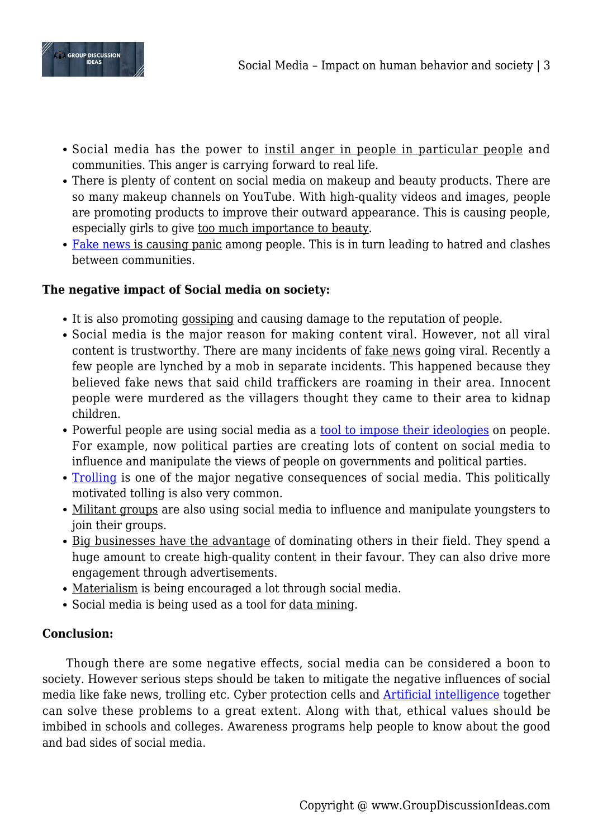

- Social media has the power to instil anger in people in particular people and communities. This anger is carrying forward to real life.
- There is plenty of content on social media on makeup and beauty products. There are so many makeup channels on YouTube. With high-quality videos and images, people are promoting products to improve their outward appearance. This is causing people, especially girls to give too much importance to beauty.
- [Fake news](https://www.groupdiscussionideas.com/fake-news-impact-on-society/) is causing panic among people. This is in turn leading to hatred and clashes between communities.

## **The negative impact of Social media on society:**

- It is also promoting gossiping and causing damage to the reputation of people.
- Social media is the major reason for making content viral. However, not all viral content is trustworthy. There are many incidents of fake news going viral. Recently a few people are lynched by a mob in separate incidents. This happened because they believed fake news that said child traffickers are roaming in their area. Innocent people were murdered as the villagers thought they came to their area to kidnap children.
- Powerful people are using social media as a [tool to impose their ideologies](https://www.groupdiscussionideas.com/is-social-media-polarising-society/) on people. For example, now political parties are creating lots of content on social media to influence and manipulate the views of people on governments and political parties.
- [Trolling](https://www.groupdiscussionideas.com/the-menace-of-trolling/) is one of the major negative consequences of social media. This politically motivated tolling is also very common.
- Militant groups are also using social media to influence and manipulate youngsters to join their groups.
- Big businesses have the advantage of dominating others in their field. They spend a huge amount to create high-quality content in their favour. They can also drive more engagement through advertisements.
- Materialism is being encouraged a lot through social media.
- Social media is being used as a tool for data mining.

## **Conclusion:**

Though there are some negative effects, social media can be considered a boon to society. However serious steps should be taken to mitigate the negative influences of social media like fake news, trolling etc. Cyber protection cells and [Artificial intelligence](https://www.groupdiscussionideas.com/artificial-intelligence-pros-and-cons/) together can solve these problems to a great extent. Along with that, ethical values should be imbibed in schools and colleges. Awareness programs help people to know about the good and bad sides of social media.